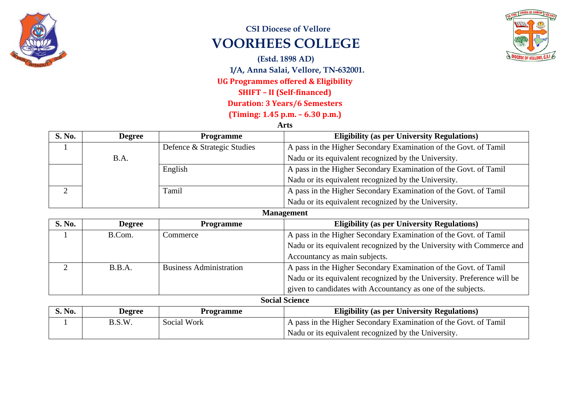

## **CSI Diocese of Vellore VOORHEES COLLEGE**

**(Estd. 1898 AD) 1/A, Anna Salai, Vellore, TN-632001. UG Programmes offered & Eligibility SHIFT – II (Self-financed) Duration: 3 Years/6 Semesters (Timing: 1.45 p.m. – 6.30 p.m.)**

**Arts**

| <b>S. No.</b> | <b>Degree</b> | <b>Programme</b>            | <b>Eligibility (as per University Regulations)</b>               |
|---------------|---------------|-----------------------------|------------------------------------------------------------------|
|               |               | Defence & Strategic Studies | A pass in the Higher Secondary Examination of the Govt. of Tamil |
|               | B.A.          |                             | Nadu or its equivalent recognized by the University.             |
|               |               | English                     | A pass in the Higher Secondary Examination of the Govt. of Tamil |
|               |               |                             | Nadu or its equivalent recognized by the University.             |
|               |               | Tamil                       | A pass in the Higher Secondary Examination of the Govt. of Tamil |
|               |               |                             | Nadu or its equivalent recognized by the University.             |

## **Management**

| <b>S. No.</b> | <b>Degree</b> | <b>Programme</b>               | <b>Eligibility (as per University Regulations)</b>                      |
|---------------|---------------|--------------------------------|-------------------------------------------------------------------------|
|               | B.Com.        | Commerce                       | A pass in the Higher Secondary Examination of the Govt. of Tamil        |
|               |               |                                | Nadu or its equivalent recognized by the University with Commerce and   |
|               |               |                                | Accountancy as main subjects.                                           |
|               | B.B.A.        | <b>Business Administration</b> | A pass in the Higher Secondary Examination of the Govt. of Tamil        |
|               |               |                                | Nadu or its equivalent recognized by the University. Preference will be |
|               |               |                                | given to candidates with Accountancy as one of the subjects.            |

**Social Science**

| S. No. | <b>Degree</b> | <b>Programme</b> | <b>Eligibility (as per University Regulations)</b>               |
|--------|---------------|------------------|------------------------------------------------------------------|
|        | B.S.W.        | Social Work      | A pass in the Higher Secondary Examination of the Govt. of Tamil |
|        |               |                  | Nadu or its equivalent recognized by the University.             |